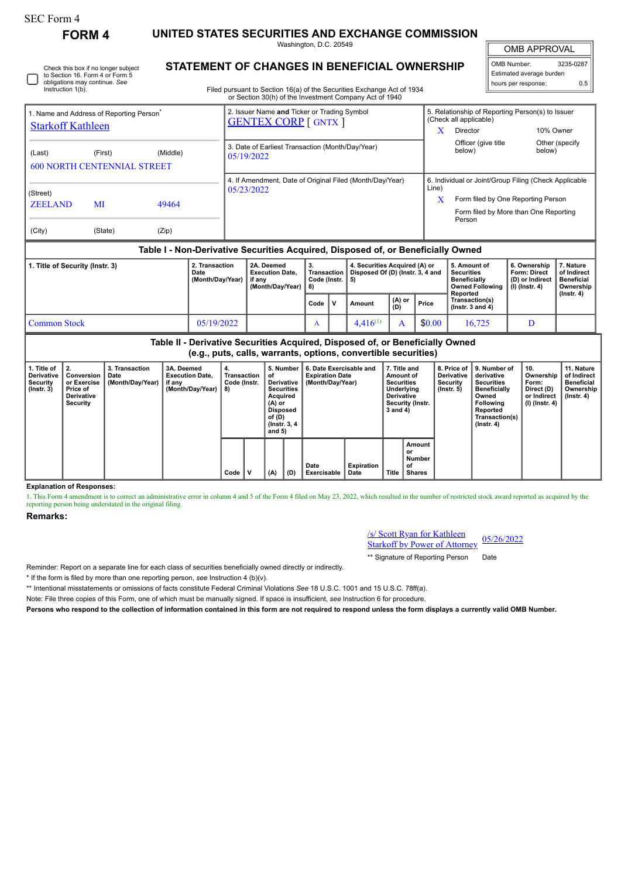Instruction 1(b).

Check this box if no longer subject to Section 16. Form 4 or Form 5 obligations may continue. *See*

**FORM 4 UNITED STATES SECURITIES AND EXCHANGE COMMISSION**

**STATEMENT OF CHANGES IN BENEFICIAL OWNERSHIP**

Washington, D.C. 20549

OMB APPROVAL

 $\mathbb{I}$ 

| 3235-0287                |  |  |  |  |  |  |  |  |
|--------------------------|--|--|--|--|--|--|--|--|
| Estimated average burden |  |  |  |  |  |  |  |  |
| ሰ ፣                      |  |  |  |  |  |  |  |  |
|                          |  |  |  |  |  |  |  |  |

Filed pursuant to Section 16(a) of the Securities Exchange Act of 1934 or Section 30(h) of the Investment Company Act of 1940

|                                                                                  | 1. Name and Address of Reporting Person <sup>®</sup> |          | 2. Issuer Name and Ticker or Trading Symbol<br><b>GENTEX CORP</b> [ GNTX ] |                                                       | 5. Relationship of Reporting Person(s) to Issuer<br>(Check all applicable) |                          |  |  |  |  |
|----------------------------------------------------------------------------------|------------------------------------------------------|----------|----------------------------------------------------------------------------|-------------------------------------------------------|----------------------------------------------------------------------------|--------------------------|--|--|--|--|
| <b>Starkoff Kathleen</b>                                                         |                                                      |          |                                                                            | X                                                     | Director                                                                   | 10% Owner                |  |  |  |  |
| (Last)                                                                           | (First)<br><b>600 NORTH CENTENNIAL STREET</b>        | (Middle) | 3. Date of Earliest Transaction (Month/Day/Year)<br>05/19/2022             |                                                       | Officer (give title)<br>below)                                             | Other (specify<br>below) |  |  |  |  |
|                                                                                  |                                                      |          | 4. If Amendment, Date of Original Filed (Month/Day/Year)<br>05/23/2022     | 6. Individual or Joint/Group Filing (Check Applicable |                                                                            |                          |  |  |  |  |
| (Street)<br><b>ZEELAND</b><br>MI                                                 |                                                      | 49464    |                                                                            | Line)<br>X                                            | Form filed by One Reporting Person                                         |                          |  |  |  |  |
|                                                                                  |                                                      |          |                                                                            |                                                       | Form filed by More than One Reporting<br>Person                            |                          |  |  |  |  |
| (City)                                                                           | (State)                                              | (Zip)    |                                                                            |                                                       |                                                                            |                          |  |  |  |  |
| Table I - Non-Derivative Securities Acquired, Disposed of, or Beneficially Owned |                                                      |          |                                                                            |                                                       |                                                                            |                          |  |  |  |  |

| . Title of Security (Instr. 3) | 2. Transaction<br>Date<br>(Month/Dav/Year) | 2A. Deemed<br><b>Execution Date.</b><br>if anv<br>(Month/Dav/Year) | З.<br>Code (Instr. $\vert$ 5) |     | 4. Securities Acquired (A) or<br>Transaction   Disposed Of (D) (Instr. 3, 4 and |               |        | 5. Amount of<br><b>Securities</b><br><b>Beneficially</b><br>Owned Following   (I) (Instr. 4) | 6. Ownership<br><b>Form: Direct</b><br>(D) or Indirect | . Nature<br>of Indirect<br><b>Beneficial</b><br>Ownership |
|--------------------------------|--------------------------------------------|--------------------------------------------------------------------|-------------------------------|-----|---------------------------------------------------------------------------------|---------------|--------|----------------------------------------------------------------------------------------------|--------------------------------------------------------|-----------------------------------------------------------|
|                                |                                            |                                                                    | Code                          | i V | Amount                                                                          | (A) or<br>(D) | Price  | Reported<br>Transaction(s)<br>$($ lnstr. 3 and 4 $)$                                         |                                                        | $($ lnstr. 4 $)$                                          |
| Common Stock                   | 05/19/2022                                 |                                                                    | A                             |     | $4.416^{(1)}$                                                                   |               | \$0.00 | 16.725                                                                                       |                                                        |                                                           |

**Table II - Derivative Securities Acquired, Disposed of, or Beneficially Owned (e.g., puts, calls, warrants, options, convertible securities)**

| 1. Title of<br><b>Derivative</b><br>Security<br>$($ lnstr. 3 $)$ | 2.<br>Conversion<br>or Exercise<br>Price of<br><b>Derivative</b><br>Security | 3. Transaction<br>Date<br>(Month/Day/Year) | 3A. Deemed<br><b>Execution Date.</b><br>if any<br>(Month/Day/Year) | 4.<br>Transaction<br>Code (Instr.<br>8) |             | οf  | 6. Date Exercisable and<br>5. Number<br><b>Expiration Date</b><br>Derivative  <br>(Month/Day/Year)<br><b>Securities</b><br>Acquired<br>(A) or<br><b>Disposed</b><br>of (D)<br>(Instr. $3, 4$<br>and $5)$ |                     |                    | 7. Title and<br>Amount of<br><b>Securities</b><br>Underlying<br><b>Derivative</b><br>Security (Instr.<br>3 and 4) |                                               | 8. Price of<br><b>Derivative</b><br>Security<br>(Instr. 5) | 9. Number of<br>derivative<br><b>Securities</b><br><b>Beneficially</b><br>Owned<br>Following<br>Reported<br>Transaction(s)<br>$($ Instr. 4 $)$ | 10.<br>Ownership<br>Form:<br>Direct (D)<br>or Indirect<br>(I) (Instr. 4) | 11. Nature<br>of Indirect<br><b>Beneficial</b><br>Ownership<br>$($ lnstr. 4 $)$ |
|------------------------------------------------------------------|------------------------------------------------------------------------------|--------------------------------------------|--------------------------------------------------------------------|-----------------------------------------|-------------|-----|----------------------------------------------------------------------------------------------------------------------------------------------------------------------------------------------------------|---------------------|--------------------|-------------------------------------------------------------------------------------------------------------------|-----------------------------------------------|------------------------------------------------------------|------------------------------------------------------------------------------------------------------------------------------------------------|--------------------------------------------------------------------------|---------------------------------------------------------------------------------|
|                                                                  |                                                                              |                                            |                                                                    | Code                                    | $\mathbf v$ | (A) | (D)                                                                                                                                                                                                      | Date<br>Exercisable | Expiration<br>Date | Title                                                                                                             | Amount<br>or<br>Number<br>of<br><b>Shares</b> |                                                            |                                                                                                                                                |                                                                          |                                                                                 |

**Explanation of Responses:**

1. This Form 4 amendment is to correct an administrative error in column 4 and 5 of the Form 4 filed on May 23, 2022, which resulted in the number of restricted stock award reported as acquired by the reporting person being understated in the original filing.

## **Remarks:**

/s/ Scott Ryan for Kathleen **Starkoff by Power of Attorney** 05/26/2022

\*\* Signature of Reporting Person Date

Reminder: Report on a separate line for each class of securities beneficially owned directly or indirectly.

\* If the form is filed by more than one reporting person, *see* Instruction 4 (b)(v).

\*\* Intentional misstatements or omissions of facts constitute Federal Criminal Violations *See* 18 U.S.C. 1001 and 15 U.S.C. 78ff(a).

Note: File three copies of this Form, one of which must be manually signed. If space is insufficient, *see* Instruction 6 for procedure.

**Persons who respond to the collection of information contained in this form are not required to respond unless the form displays a currently valid OMB Number.**